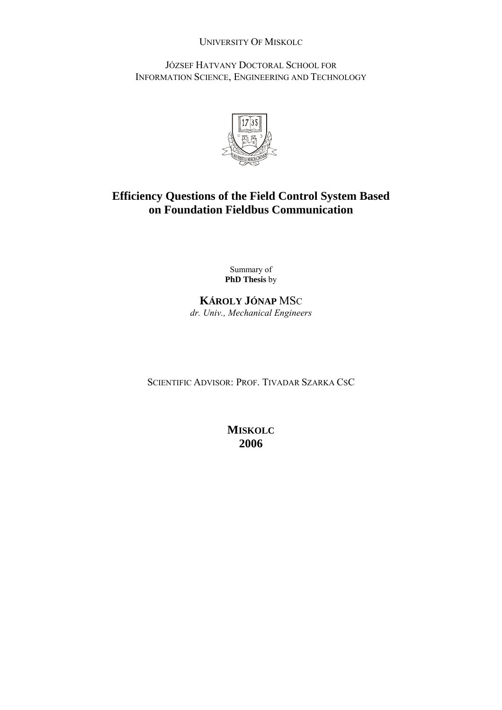# UNIVERSITY OF MISKOLC

JÓZSEF HATVANY DOCTORAL SCHOOL FOR INFORMATION SCIENCE, ENGINEERING AND TECHNOLOGY



# **Efficiency Questions of the Field Control System Based on Foundation Fieldbus Communication**

Summary of **PhD Thesis** by

# **KÁROLY JÓNAP** MSC *dr. Univ., Mechanical Engineers*

SCIENTIFIC ADVISOR: PROF. TIVADAR SZARKA CSC

**MISKOLC 2006**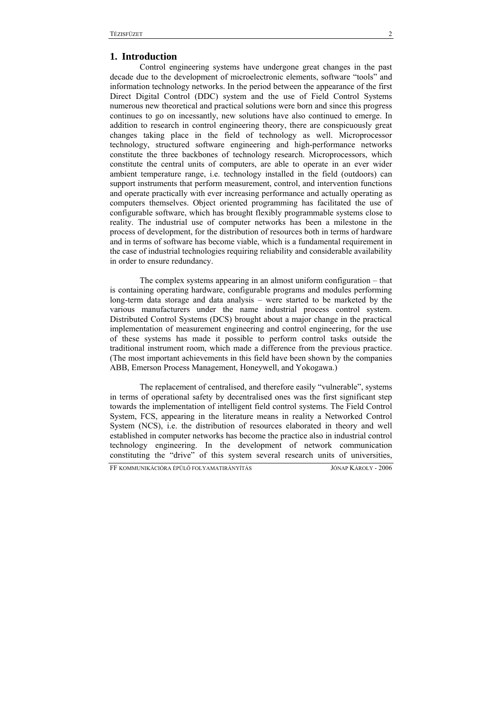## **1. Introduction**

Control engineering systems have undergone great changes in the past decade due to the development of microelectronic elements, software "tools" and information technology networks. In the period between the appearance of the first Direct Digital Control (DDC) system and the use of Field Control Systems numerous new theoretical and practical solutions were born and since this progress continues to go on incessantly, new solutions have also continued to emerge. In addition to research in control engineering theory, there are conspicuously great changes taking place in the field of technology as well. Microprocessor technology, structured software engineering and high-performance networks constitute the three backbones of technology research. Microprocessors, which constitute the central units of computers, are able to operate in an ever wider ambient temperature range, i.e. technology installed in the field (outdoors) can support instruments that perform measurement, control, and intervention functions and operate practically with ever increasing performance and actually operating as computers themselves. Object oriented programming has facilitated the use of configurable software, which has brought flexibly programmable systems close to reality. The industrial use of computer networks has been a milestone in the process of development, for the distribution of resources both in terms of hardware and in terms of software has become viable, which is a fundamental requirement in the case of industrial technologies requiring reliability and considerable availability in order to ensure redundancy.

The complex systems appearing in an almost uniform configuration – that is containing operating hardware, configurable programs and modules performing long-term data storage and data analysis – were started to be marketed by the various manufacturers under the name industrial process control system. Distributed Control Systems (DCS) brought about a major change in the practical implementation of measurement engineering and control engineering, for the use of these systems has made it possible to perform control tasks outside the traditional instrument room, which made a difference from the previous practice. (The most important achievements in this field have been shown by the companies ABB, Emerson Process Management, Honeywell, and Yokogawa.)

The replacement of centralised, and therefore easily "vulnerable", systems in terms of operational safety by decentralised ones was the first significant step towards the implementation of intelligent field control systems. The Field Control System, FCS, appearing in the literature means in reality a Networked Control System (NCS), i.e. the distribution of resources elaborated in theory and well established in computer networks has become the practice also in industrial control technology engineering. In the development of network communication constituting the "drive" of this system several research units of universities,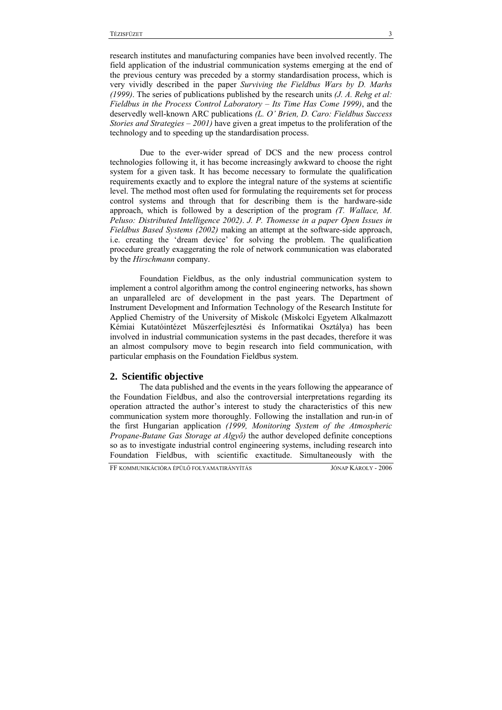research institutes and manufacturing companies have been involved recently. The field application of the industrial communication systems emerging at the end of the previous century was preceded by a stormy standardisation process, which is very vividly described in the paper *Surviving the Fieldbus Wars by D. Marhs (1999)*. The series of publications published by the research units *(J. A. Rehg et al: Fieldbus in the Process Control Laboratory – Its Time Has Come 1999)*, and the deservedly well-known ARC publications *(L. O' Brien, D. Caro: Fieldbus Success Stories and Strategies – 2001)* have given a great impetus to the proliferation of the technology and to speeding up the standardisation process.

Due to the ever-wider spread of DCS and the new process control technologies following it, it has become increasingly awkward to choose the right system for a given task. It has become necessary to formulate the qualification requirements exactly and to explore the integral nature of the systems at scientific level. The method most often used for formulating the requirements set for process control systems and through that for describing them is the hardware-side approach, which is followed by a description of the program *(T. Wallace, M. Peluso: Distributed Intelligence 2002)*. *J. P. Thomesse in a paper Open Issues in Fieldbus Based Systems (2002)* making an attempt at the software-side approach, i.e. creating the 'dream device' for solving the problem. The qualification procedure greatly exaggerating the role of network communication was elaborated by the *Hirschmann* company.

Foundation Fieldbus, as the only industrial communication system to implement a control algorithm among the control engineering networks, has shown an unparalleled arc of development in the past years. The Department of Instrument Development and Information Technology of the Research Institute for Applied Chemistry of the University of Miskolc (Miskolci Egyetem Alkalmazott Kémiai Kutatóintézet Műszerfejlesztési és Informatikai Osztálya) has been involved in industrial communication systems in the past decades, therefore it was an almost compulsory move to begin research into field communication, with particular emphasis on the Foundation Fieldbus system.

### **2. Scientific objective**

The data published and the events in the years following the appearance of the Foundation Fieldbus, and also the controversial interpretations regarding its operation attracted the author's interest to study the characteristics of this new communication system more thoroughly. Following the installation and run-in of the first Hungarian application *(1999, Monitoring System of the Atmospheric Propane-Butane Gas Storage at Algyő)* the author developed definite conceptions so as to investigate industrial control engineering systems, including research into Foundation Fieldbus, with scientific exactitude. Simultaneously with the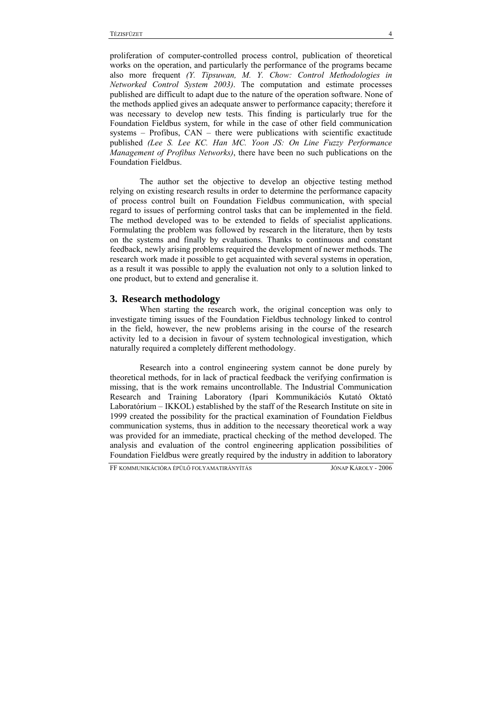proliferation of computer-controlled process control, publication of theoretical works on the operation, and particularly the performance of the programs became also more frequent *(Y. Tipsuwan, M. Y. Chow: Control Methodologies in Networked Control System 2003)*. The computation and estimate processes published are difficult to adapt due to the nature of the operation software. None of the methods applied gives an adequate answer to performance capacity; therefore it was necessary to develop new tests. This finding is particularly true for the Foundation Fieldbus system, for while in the case of other field communication systems – Profibus, CAN – there were publications with scientific exactitude published *(Lee S. Lee KC. Han MC. Yoon JS: On Line Fuzzy Performance Management of Profibus Networks)*, there have been no such publications on the Foundation Fieldbus.

The author set the objective to develop an objective testing method relying on existing research results in order to determine the performance capacity of process control built on Foundation Fieldbus communication, with special regard to issues of performing control tasks that can be implemented in the field. The method developed was to be extended to fields of specialist applications. Formulating the problem was followed by research in the literature, then by tests on the systems and finally by evaluations. Thanks to continuous and constant feedback, newly arising problems required the development of newer methods. The research work made it possible to get acquainted with several systems in operation, as a result it was possible to apply the evaluation not only to a solution linked to one product, but to extend and generalise it.

# **3. Research methodology**

When starting the research work, the original conception was only to investigate timing issues of the Foundation Fieldbus technology linked to control in the field, however, the new problems arising in the course of the research activity led to a decision in favour of system technological investigation, which naturally required a completely different methodology.

Research into a control engineering system cannot be done purely by theoretical methods, for in lack of practical feedback the verifying confirmation is missing, that is the work remains uncontrollable. The Industrial Communication Research and Training Laboratory (Ipari Kommunikációs Kutató Oktató Laboratórium – IKKOL) established by the staff of the Research Institute on site in 1999 created the possibility for the practical examination of Foundation Fieldbus communication systems, thus in addition to the necessary theoretical work a way was provided for an immediate, practical checking of the method developed. The analysis and evaluation of the control engineering application possibilities of Foundation Fieldbus were greatly required by the industry in addition to laboratory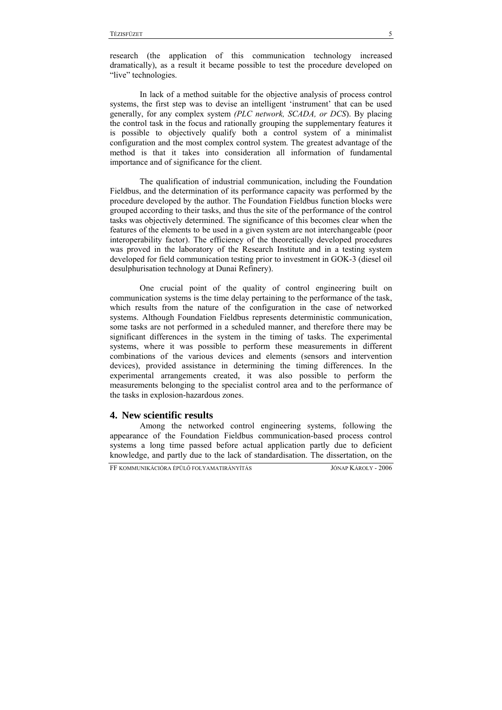research (the application of this communication technology increased dramatically), as a result it became possible to test the procedure developed on "live" technologies.

In lack of a method suitable for the objective analysis of process control systems, the first step was to devise an intelligent 'instrument' that can be used generally, for any complex system *(PLC network, SCADA, or DCS*). By placing the control task in the focus and rationally grouping the supplementary features it is possible to objectively qualify both a control system of a minimalist configuration and the most complex control system. The greatest advantage of the method is that it takes into consideration all information of fundamental importance and of significance for the client.

The qualification of industrial communication, including the Foundation Fieldbus, and the determination of its performance capacity was performed by the procedure developed by the author. The Foundation Fieldbus function blocks were grouped according to their tasks, and thus the site of the performance of the control tasks was objectively determined. The significance of this becomes clear when the features of the elements to be used in a given system are not interchangeable (poor interoperability factor). The efficiency of the theoretically developed procedures was proved in the laboratory of the Research Institute and in a testing system developed for field communication testing prior to investment in GOK-3 (diesel oil desulphurisation technology at Dunai Refinery).

One crucial point of the quality of control engineering built on communication systems is the time delay pertaining to the performance of the task, which results from the nature of the configuration in the case of networked systems. Although Foundation Fieldbus represents deterministic communication, some tasks are not performed in a scheduled manner, and therefore there may be significant differences in the system in the timing of tasks. The experimental systems, where it was possible to perform these measurements in different combinations of the various devices and elements (sensors and intervention devices), provided assistance in determining the timing differences. In the experimental arrangements created, it was also possible to perform the measurements belonging to the specialist control area and to the performance of the tasks in explosion-hazardous zones.

## **4. New scientific results**

Among the networked control engineering systems, following the appearance of the Foundation Fieldbus communication-based process control systems a long time passed before actual application partly due to deficient knowledge, and partly due to the lack of standardisation. The dissertation, on the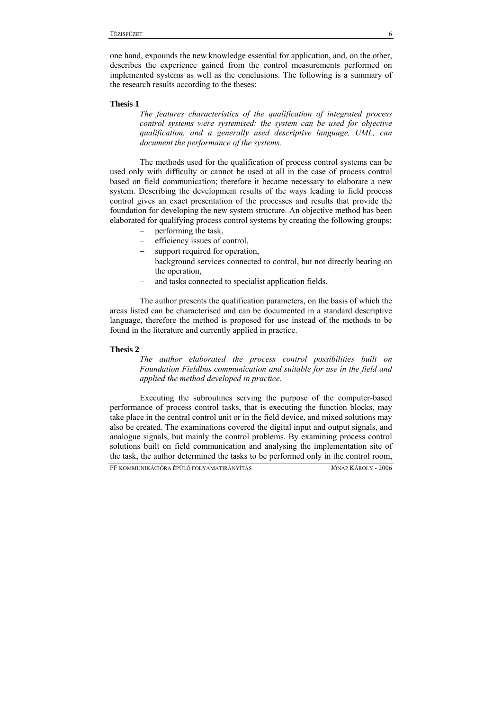one hand, expounds the new knowledge essential for application, and, on the other, describes the experience gained from the control measurements performed on implemented systems as well as the conclusions. The following is a summary of the research results according to the theses:

#### **Thesis 1**

*The features characteristics of the qualification of integrated process control systems were systemised: the system can be used for objective qualification, and a generally used descriptive language, UML, can document the performance of the systems.* 

The methods used for the qualification of process control systems can be used only with difficulty or cannot be used at all in the case of process control based on field communication; therefore it became necessary to elaborate a new system. Describing the development results of the ways leading to field process control gives an exact presentation of the processes and results that provide the foundation for developing the new system structure. An objective method has been elaborated for qualifying process control systems by creating the following groups:

- performing the task,
- efficiency issues of control,
- support required for operation,
- background services connected to control, but not directly bearing on the operation,
- and tasks connected to specialist application fields.

The author presents the qualification parameters, on the basis of which the areas listed can be characterised and can be documented in a standard descriptive language, therefore the method is proposed for use instead of the methods to be found in the literature and currently applied in practice.

#### **Thesis 2**

*The author elaborated the process control possibilities built on Foundation Fieldbus communication and suitable for use in the field and applied the method developed in practice.* 

Executing the subroutines serving the purpose of the computer-based performance of process control tasks, that is executing the function blocks, may take place in the central control unit or in the field device, and mixed solutions may also be created. The examinations covered the digital input and output signals, and analogue signals, but mainly the control problems. By examining process control solutions built on field communication and analysing the implementation site of the task, the author determined the tasks to be performed only in the control room,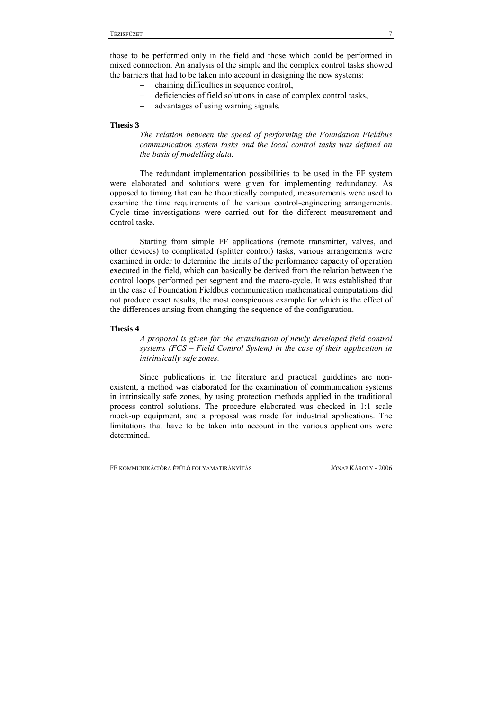those to be performed only in the field and those which could be performed in mixed connection. An analysis of the simple and the complex control tasks showed the barriers that had to be taken into account in designing the new systems:

- − chaining difficulties in sequence control,
- − deficiencies of field solutions in case of complex control tasks,
- − advantages of using warning signals.

#### **Thesis 3**

*The relation between the speed of performing the Foundation Fieldbus communication system tasks and the local control tasks was defined on the basis of modelling data.* 

The redundant implementation possibilities to be used in the FF system were elaborated and solutions were given for implementing redundancy. As opposed to timing that can be theoretically computed, measurements were used to examine the time requirements of the various control-engineering arrangements. Cycle time investigations were carried out for the different measurement and control tasks.

Starting from simple FF applications (remote transmitter, valves, and other devices) to complicated (splitter control) tasks, various arrangements were examined in order to determine the limits of the performance capacity of operation executed in the field, which can basically be derived from the relation between the control loops performed per segment and the macro-cycle. It was established that in the case of Foundation Fieldbus communication mathematical computations did not produce exact results, the most conspicuous example for which is the effect of the differences arising from changing the sequence of the configuration.

#### **Thesis 4**

*A proposal is given for the examination of newly developed field control systems (FCS – Field Control System) in the case of their application in intrinsically safe zones.* 

Since publications in the literature and practical guidelines are nonexistent, a method was elaborated for the examination of communication systems in intrinsically safe zones, by using protection methods applied in the traditional process control solutions. The procedure elaborated was checked in 1:1 scale mock-up equipment, and a proposal was made for industrial applications. The limitations that have to be taken into account in the various applications were determined.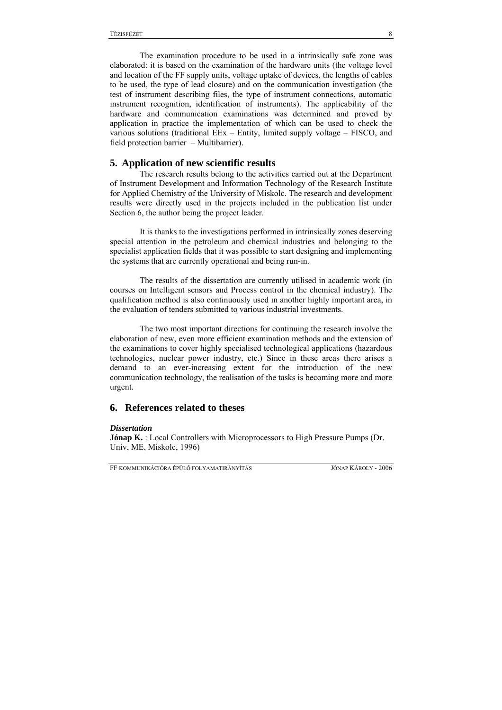The examination procedure to be used in a intrinsically safe zone was elaborated: it is based on the examination of the hardware units (the voltage level and location of the FF supply units, voltage uptake of devices, the lengths of cables to be used, the type of lead closure) and on the communication investigation (the test of instrument describing files, the type of instrument connections, automatic instrument recognition, identification of instruments). The applicability of the hardware and communication examinations was determined and proved by application in practice the implementation of which can be used to check the various solutions (traditional EEx – Entity, limited supply voltage – FISCO, and field protection barrier – Multibarrier).

### **5. Application of new scientific results**

The research results belong to the activities carried out at the Department of Instrument Development and Information Technology of the Research Institute for Applied Chemistry of the University of Miskolc. The research and development results were directly used in the projects included in the publication list under Section 6, the author being the project leader.

It is thanks to the investigations performed in intrinsically zones deserving special attention in the petroleum and chemical industries and belonging to the specialist application fields that it was possible to start designing and implementing the systems that are currently operational and being run-in.

The results of the dissertation are currently utilised in academic work (in courses on Intelligent sensors and Process control in the chemical industry). The qualification method is also continuously used in another highly important area, in the evaluation of tenders submitted to various industrial investments.

The two most important directions for continuing the research involve the elaboration of new, even more efficient examination methods and the extension of the examinations to cover highly specialised technological applications (hazardous technologies, nuclear power industry, etc.) Since in these areas there arises a demand to an ever-increasing extent for the introduction of the new communication technology, the realisation of the tasks is becoming more and more urgent.

# **6. References related to theses**

#### *Dissertation*

**Jónap K.** : Local Controllers with Microprocessors to High Pressure Pumps (Dr. Univ, ME, Miskolc, 1996)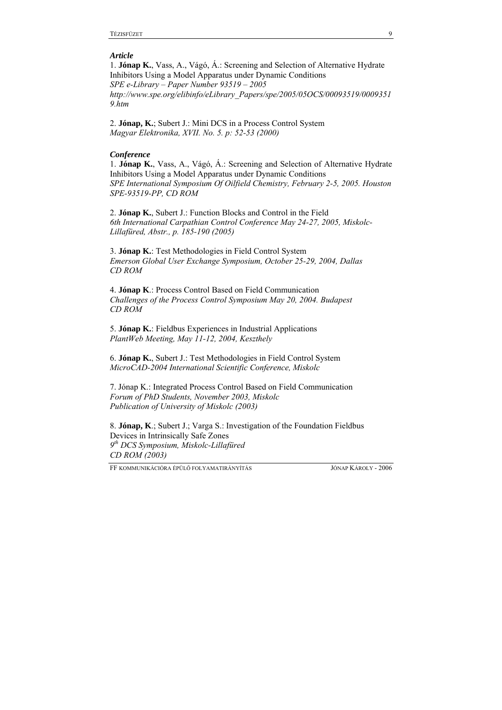#### *Article*

1. **Jónap K.**, Vass, A., Vágó, Á.: Screening and Selection of Alternative Hydrate Inhibitors Using a Model Apparatus under Dynamic Conditions *SPE e-Library – Paper Number 93519 – 2005 http://www.spe.org/elibinfo/eLibrary\_Papers/spe/2005/05OCS/00093519/0009351 9.htm* 

2. **Jónap, K.**; Subert J.: Mini DCS in a Process Control System *Magyar Elektronika, XVII. No. 5. p: 52-53 (2000)* 

#### *Conference*

1. **Jónap K.**, Vass, A., Vágó, Á.: Screening and Selection of Alternative Hydrate Inhibitors Using a Model Apparatus under Dynamic Conditions *SPE International Symposium Of Oilfield Chemistry, February 2-5, 2005. Houston SPE-93519-PP, CD ROM* 

2. **Jónap K.**, Subert J.: Function Blocks and Control in the Field *6th International Carpathian Control Conference May 24-27, 2005, Miskolc-Lillafüred, Abstr., p. 185-190 (2005)* 

3. **Jónap K.**: Test Methodologies in Field Control System *Emerson Global User Exchange Symposium, October 25-29, 2004, Dallas CD ROM* 

4. **Jónap K**.: Process Control Based on Field Communication *Challenges of the Process Control Symposium May 20, 2004. Budapest CD ROM* 

5. **Jónap K.**: Fieldbus Experiences in Industrial Applications *PlantWeb Meeting, May 11-12, 2004, Keszthely* 

6. **Jónap K.**, Subert J.: Test Methodologies in Field Control System *MicroCAD-2004 International Scientific Conference, Miskolc* 

7. Jónap K.: Integrated Process Control Based on Field Communication *Forum of PhD Students, November 2003, Miskolc Publication of University of Miskolc (2003)* 

8. **Jónap, K**.; Subert J.; Varga S.: Investigation of the Foundation Fieldbus Devices in Intrinsically Safe Zones *9th DCS Symposium, Miskolc-Lillafüred CD ROM (2003)*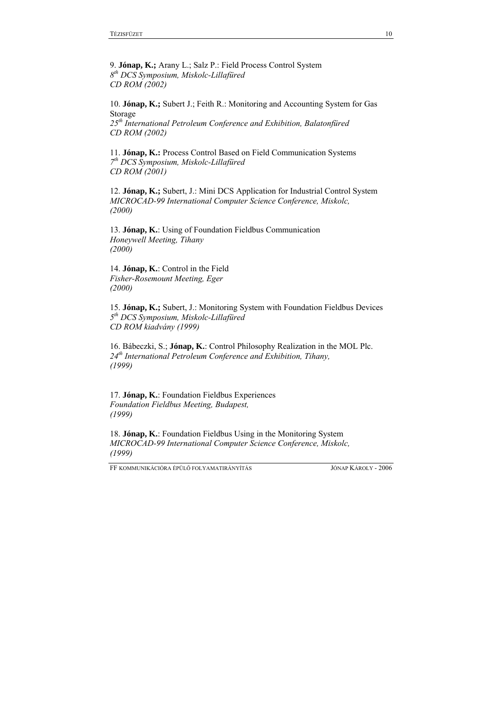9. **Jónap, K.;** Arany L.; Salz P.: Field Process Control System *8th DCS Symposium, Miskolc-Lillafüred CD ROM (2002)* 

10. **Jónap, K.;** Subert J.; Feith R.: Monitoring and Accounting System for Gas Storage *25th International Petroleum Conference and Exhibition, Balatonfüred CD ROM (2002)*

11. **Jónap, K.:** Process Control Based on Field Communication Systems *7th DCS Symposium, Miskolc-Lillafüred CD ROM (2001)*

12. **Jónap, K.;** Subert, J.: Mini DCS Application for Industrial Control System *MICROCAD-99 International Computer Science Conference, Miskolc, (2000)* 

13. **Jónap, K.**: Using of Foundation Fieldbus Communication *Honeywell Meeting, Tihany (2000)* 

14. **Jónap, K.**: Control in the Field *Fisher-Rosemount Meeting, Eger (2000)* 

15. **Jónap, K.;** Subert, J.: Monitoring System with Foundation Fieldbus Devices *5th DCS Symposium, Miskolc-Lillafüred CD ROM kiadvány (1999)* 

16. Bábeczki, S.; **Jónap, K.**: Control Philosophy Realization in the MOL Plc. *24th International Petroleum Conference and Exhibition, Tihany, (1999)* 

17. **Jónap, K.**: Foundation Fieldbus Experiences *Foundation Fieldbus Meeting, Budapest, (1999)* 

18. **Jónap, K.**: Foundation Fieldbus Using in the Monitoring System *MICROCAD-99 International Computer Science Conference, Miskolc, (1999)*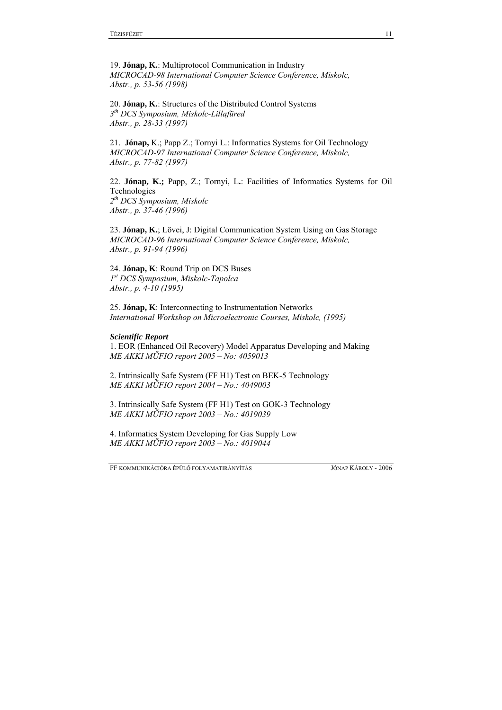19. **Jónap, K.**: Multiprotocol Communication in Industry *MICROCAD-98 International Computer Science Conference, Miskolc, Abstr., p. 53-56 (1998)* 

20. **Jónap, K.**: Structures of the Distributed Control Systems *3th DCS Symposium, Miskolc-Lillafüred Abstr., p. 28-33 (1997)* 

21.**Jónap,** K.; Papp Z.; Tornyi L.: Informatics Systems for Oil Technology *MICROCAD-97 International Computer Science Conference, Miskolc, Abstr., p. 77-82 (1997)* 

22. **Jónap, K.;** Papp, Z.; Tornyi, L**.**: Facilities of Informatics Systems for Oil Technologies *2th DCS Symposium, Miskolc Abstr., p. 37-46 (1996)* 

23. **Jónap, K.**; Lövei, J: Digital Communication System Using on Gas Storage *MICROCAD-96 International Computer Science Conference, Miskolc, Abstr., p. 91-94 (1996)* 

24. **Jónap, K**: Round Trip on DCS Buses *1st DCS Symposium, Miskolc-Tapolca Abstr., p. 4-10 (1995)* 

25. **Jónap, K**: Interconnecting to Instrumentation Networks *International Workshop on Microelectronic Courses, Miskolc, (1995)* 

#### *Scientific Report*

1. EOR (Enhanced Oil Recovery) Model Apparatus Developing and Making *ME AKKI MŰFIO report 2005 – No: 4059013*

2. Intrinsically Safe System (FF H1) Test on BEK-5 Technology *ME AKKI MŰFIO report 2004 – No.: 4049003* 

3. Intrinsically Safe System (FF H1) Test on GOK-3 Technology *ME AKKI MŰFIO report 2003 – No.: 4019039* 

4. Informatics System Developing for Gas Supply Low *ME AKKI MŰFIO report 2003 – No.: 4019044*